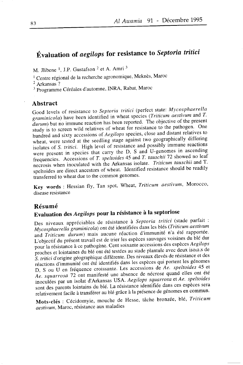# Évaluation of aegilops for resistance to Septoria tritici

M. Jlibene<sup>1</sup>, J.P. Gustafson<sup>2</sup> et A. Amri<sup>3</sup>

<sup>1</sup> Centre régional de la recherche agronomique, Meknès, Maroc

 $2$  Arkansas?

<sup>3</sup> Programme Céréales d'automne, INRA, Rabat, Maroc

#### Abstract

Good levels of resistance to Septoria tritici (perfect state: Mycosphaerella graminicola) have been identified in wheat species (Triticum aestivum and T.  $durum$ ) but no immune reaction has been reported. The objective of the present study is to screen wild relatives of wheat for resistance to the pathogen. One hundred and sixty accessions of Aegilops species, close and distant relatives to wheat, were tested at the seedling stage against two geographically differing isolates of S. tritici. High level of resistance and possibly immune reactions were present in species that carry the D, S and U-genomes in ascending frequencies. Accessions of T. speltoides 45 and T. tauschii 72 showed no leaf necrosis when inoculated with the Arkansas isolate. Triticum tauschii and T. speltoides are direct ancestors of wheat. Identified resistance should be readily transferred to wheat due to the common genomes.

Key words: Hessian fly, Tan spot, Wheat, Triticum aestivum, Morocco, disease resistance

#### Résumé

# Evaluation des Aegilops pour la résistance à la septoriose

Des niveaux appréciables de résistance à Septoria tritici (stade parfait : Mycosphaerella graminicola) ont été identifiées dans les blés (Triticum aestivum and Triticum durum) mais aucune réaction d'immunité n'a été rapportée. L'objectif du présent travail est de trier les espèces sauvages voisines du blé dur pour la résistance à ce pathogène. Cent soixante accessions des espèces Aegilops proches et lointaines du blé ont été testées au stade plantule avec deux isolais de S. tritici d'origine géographique différente. Des niveaux élevés de résistance et des réactions d'immunité ont été identifiés dans les espèces qui portent les génomes D, S ou U en fréquence croissante. Les accessions de Ae. speltoides 45 et Ae. squarrosa 72 ont manifesté une absence de nécrose quand elles ont été inoculées par un isolat d'Arkansas USA. Aegilops squarrosa et Ae. speltoides sont des parents lointains du blé. La résistance identifiée dans ces espèces sera relativement facile à transférer au blé grâce à la présence de génomes en commun.

Mots-clés : Cécidomyie, mouche de Hesse, tâche bronzée, blé, Triticum aestivum. Maroc, résistance aux maladies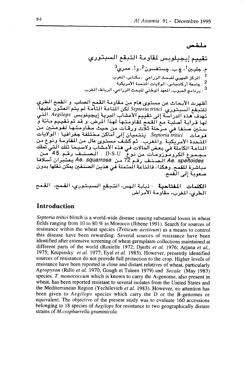#### ملخص

أظهرت الأبحاث عن مستوى هام من مقاومة القمح الصلب و القمح الطري للتبعّم السبتوري .<br>للتبعّم السبتوري Septoria tritici لكن المناعة التامة لم يتم العثور عليها.<br>تهدف هذه الدراسة إلى تقييم الأعشاب البرية إيجيلوبس Aegilops التى لها قرابة أصلية مع القمح لقاومتها لهذا الرخن. و قد تم تقييم مائة و ستتين صنفا في مرحلة ثلاث ورقات من حيث مقاومتها لفوعلتين من فوعات Septoria tritici ينتميان إلى أماكن مختلفة جغرافيا : الولايات مس .<br>Ae. squarrosa الصنف رقم 72 من Ae. squarrosa يعتبران أسلافا مباشرة للقمح. وهكذا، فالمناعة المحتملة في هذين الصنفين يمكن نُقلُّها بدون منعوبة إلى القمح.

### **Introduction**

Septoria tritici blotch is a world-wide disease causing substantial losses in wheat fields ranging from 10 to 80 % in Morocco (Jlibene 1991). Search for sources of resistance within the wheat species (Triticum aestivum) as a means to control this disease have been rewarding. Several sources of resistance have been identified after extensive screening of wheat germplasm collections maintained at different parts of the world (Rosielle 1972; Djerbi et al. 1976; Arjana et al., 1975; Krupinsky et al. 1977; Eyal et al. 1983). However, presently identified sources of resistance do not provide full protection to the crop. Higher levels of resistance have been reported in close and distant relatives of wheat, particularly Agropyron (Rillo et al. 1970; Gough et Tuleen 1979) and Secale (May 1983) species. T. monococcum which is known to carry the A-genome, also present in wheat, has been reported resistant to several isolates from the United States and the Mediterranean Region (Yechilevich et al. 1983). However, no attention has been given to Aegilops species which carry the D or the B-genomes or equivalent. The objective of the present study was to evaluate 160 accessions belonging to 18 species of *Aegilops* for resistance to two geographically distant strains of M.cosphaerella graminicola.

**الكلمات المقتاحية** : ذبابة الهس، التبقع السبتوري، القمح، القمح<br>الطري، المغرب، مقاومة الأمراض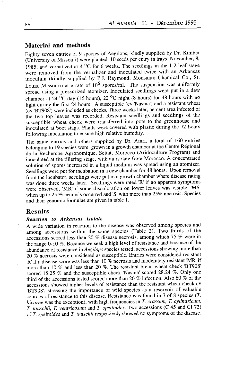### Material and methods

Eighty seven entries of 9 species of Aegilops, kindly supplied by Dr. Kimber  $($ University of Missouri) were planted,  $10$  seeds per entry in trays, November, 8, 1985, and vernalized at  $4 \,^{\circ}\text{C}$  for 6 weeks. The seedlings in the 1-2 leaf stage were removed from the vernalizer and inoculated twice with an Arkansas inoculum (kindly supplied by P.J. Raymond, Monsanto Chemical Co., St. Louis, Missouri) at a rate of  $10^6$  spores/ml. The suspension was uniformly spread using a pressurized atomizer. Inoculated seedlings were put in a dew chamber at 24  $^{\circ}$ C day (16 hours), 22  $^{\circ}$ C night (8 hours) for 48 hours with no light during the first 24 hours. A susceptible (cv 'Nasma') and a resistant wheat (cv 'BT908') were included as checks. Three weeks later, percent area infected of the two top leaves was recorded. Resistant seedlings and seedlings of the susceptible wheat check were transferred into pots to the greenhouse and inocuiated at boot stage. Plants were covered with plastic during the 72 hours following inoculation to ensure high relative humidity.

The same entries and others supplied by Dr. Amri, a total of 160 entries belonging to 19 species were grown in a growth chamber at the Centre Régional de la-Recherche Agronomique, Settat, Morocco (Aridoculture Program) and inoculated at the tiliering stage, with an isolate from Morocco. A concentrated solution of spores increased in a liquid medium was spread using an atomizer. Seedlings were put for incubation in a dew chamber for 48 hours. Upon removal from the incubator, seedlings were put in a growth chamber where disease rating was done three weeks later. Seedlings were rated 'R' if no apparent symptoms were observed, 'MR' if some discoloration on lower leaves was visible, 'MS' when up to 25  $%$  necrosis occurred and 'S' with more than 25 $%$  necrosis. Species and their genomic formulae are given in table 1.

#### Results

#### Reaction to Arkansas isolate

A wide variation in reaction to the disease was observed among species and among accessions within the same species (Table 2). Two thirds of the accessions scored less than 20  $%$  disease necrosis, among which 75  $%$  were in the range  $0-10\%$ . Because we seek a high level of resistance and because of the abundance of resistance in Aegilops species tested, accessions showing more than 20 % necrosis were considered as susceptible. Entries were considered resistant 'R' if a disease score was less than 10 % necrosis and moderately resistant 'MR' if more than 10 % and less than 20 %. The resistant bread wheat check 'BT908' scored 15.25 % and the susceptible check 'Nasma' scored 28.24 %. Only one third of the accessions tested scored more than 20  $\%$  infection. Also 60  $\%$  of the accessions showed higher levels of resistance than the resistant wheat check cv 'BT908', stressing the importance of wild species as a reservoir of valuable sources of resistance to this disease. Resistance was found in 7 of 8 species (I. bicorne was the exception), with high frequencies in T. crassum, T. cylindricum, T. tauschii, T. ventricosum and T. speltoides. Two accessions (C 45 and CI 72) of T. speltoides and T. tauschii respectively showed no symptoms of the disease.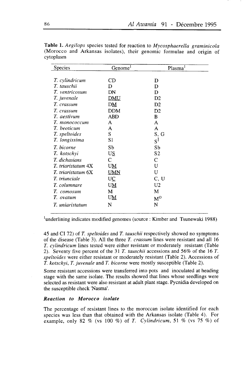| Species              | Genome <sup>1</sup> | Plasma <sup>1</sup> |
|----------------------|---------------------|---------------------|
|                      |                     |                     |
| T. cylindricum       | CD                  | D                   |
| T. tauschii          | D                   | D                   |
| T. ventricosum       | DN                  | D                   |
| T. juvenale          | <u>DMU</u>          | D2                  |
| T. crassum           | DΜ                  | D2                  |
| T. crassum           | <b>DDM</b>          | D2                  |
| T. aestivum          | ABD                 | B                   |
| Т. топососсит        | A                   | A                   |
| T. beoticum          | A                   | A                   |
| T. speltoides        | S                   | S, G                |
| T. longissima        | S1                  | $S^1$               |
| T. bicorne           | Sb                  | Sb                  |
| T. kotschyi          | US                  | S <sub>2</sub>      |
| T. dichasians        | C                   | C                   |
| T. triaristatum 4X   | UM                  | U                   |
| T. triaristatum 6X   | <b>UMN</b>          | U                   |
| <i>T.</i> triunciale | UC                  | C, U                |
| T. columnare         | UM                  | U2                  |
| T. comosum           | М                   | M                   |
| T. ovatum            | UM                  | $M^O$               |
| T. uniaristatum      | N                   | N                   |
|                      |                     |                     |

Table 1. Aegilops species tested for reaction to Mycosphaerella graminicola (Morocco and Arkansas isolates), their genomic formulae and origin of cytoplasm

<sup>1</sup>underlining indicates modified genomes (source : Kimber and Tsunewaki 1988)

45 and CI 72) of T. speltoides and T. tauschii respectively showed no symptoms of the disease (Table 3). All the three T. crassum lines were resistant and all 16 T. cylindricum lines tested were either resistant or moderately resistant (Table 2). Seventy five percent of the 31 T. tauschii accessions and 56% of the 16 T. speltoides were either resistant or moderately resistant (Table 2). Accessions of T. kotschyi, T. juvenale and T. bicorne were mostly susceptible (Table 2).

Some resistant accessions were transferred into pots and inoculated at heading stage with the same isolate. The results showed that lines whose seedlings were selected as resistant were also resistant at adult plant stage. Pycnidia developed on the susceptible check 'Nasma'.

#### Reaction to Morocco isolate

The percentage of resistant lines to the moroccan isolate identified for each species was less than that obtained with the Arkansas isolate (Table 4). For example, only 82 % (vs 100 %) of T. Cylindricum, 51 % (vs 75 %) of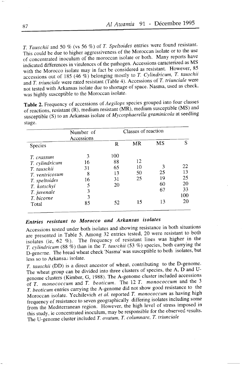T. Tauschii and 50  $\%$  (vs 56  $\%$ ) of T. Speltoides entries were found resistant. This could be due to higher aggressiveness of the Moroccan isolate or to the use of concentrated inoculum of the moroccan isolate or both. Many reports have indicated differences tn virulences of the pathogen. Accessions caracterized as MS with the Morocco isolate may in fact be considered as resistant. However, 85 accessions out of 185  $(46 \%)$  belonging mostly to T. Cylindricum, T. tauschii and  $T$ . triunciale were rated resistant (Table 4). Accessions of  $T$ . triunciale were not tested with Arkansas isolate due to shortage of space. Nasma, used as check, was highly susceptible to the Moroccan isolate.

Table 2. Frequency of accessions of Aegilops species grouped into four classes of reactions, resistant (R), medium resistant  $(MR)$ , medium susceptible (MS) and susceptible (S) to an Arkansas isolate of Mycosphaerella graminicola at seedling stage.

|                | Number of<br>Accessions | Classes of reaction |    |    |     |  |
|----------------|-------------------------|---------------------|----|----|-----|--|
| Species        |                         | R                   | MR | MS | S   |  |
| T. crassum     | 3                       | 100                 |    |    |     |  |
| T. cylindricum | 16                      | 88                  | 12 |    |     |  |
| T. tauschii    | 31                      | 65                  | 10 |    | 22  |  |
| T. ventricosum | 8                       | 13                  | 50 | 25 | 13  |  |
| T. speltoides  | 16                      | 31                  | 25 | 19 | 25  |  |
| T. kotschyi    | 5                       | 20                  |    | 60 | 20  |  |
| T. juvenale    | 3                       |                     |    | 67 | 33  |  |
| T. bicorne     | 3                       |                     |    |    | 100 |  |
| Total          | 85                      | 52                  | 15 | 13 | 20  |  |

## Entries resistant to Morocco and Arkansas isolates

Accessions tested under both isolates and showing resistance in both situations are presented in Table 5. Among 32 entries tested, 20 were resistant to both isolates (ie, 62 %). The frequency of resistant lines was higher in the T. cylindricum (88 %) than in the T. tauschii (53 %) species, both carrying the D-genome. The bread wheat check 'Nasma' was susceptible to both isolates, but less so to Arkansas isolate.

T. tauschii (DD) is a direct ancestor of wheat, contributing to the D-genome' The wheat group can be divided into three clusters of species, the A,  $\overline{D}$  and Ugenome clusters (Kimber, G, 1988). The A-genome cluster included accessions of  $T<sub>1</sub>$  monococcum and  $T<sub>2</sub>$  beoticum. The 12  $T<sub>3</sub>$  monococcum and the 3 T. beoticumentrres carrying the A-genome did not show good resistance to the Moroccan isolate. Yechilevich et al. reported T. monococcum as having high frequency of resistance to seven geographically differing isolates including some from the Mediterranean region. However, the high level of stress imposed in this study, ie concentrated inoculum, may be responsible for the observed results. The U-genome cluster included  $T$ . ovatum,  $T$ . columnare,  $T$ . triunciale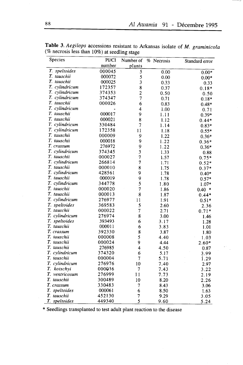| Species        | PI/CI  | Number of                | % Necrosis | Standard error |
|----------------|--------|--------------------------|------------|----------------|
|                | number | plants                   |            |                |
| T. speltoides  | 000045 | 5                        | 0.00       | $0.00*$        |
| T. tauschii    | 000072 | 5                        | 0.00       | $0.00*$        |
| T. tauschii    | 000025 | 3                        | 0.33       | 0.33           |
| T. cylindricum | 172357 | 8                        | 0.37       | $0.18*$        |
| T. cylindricum | 374353 | $\overline{c}$           | 0.50       | 0.50           |
| T. cylindricum | 374347 | 7                        | 0.71       | $0.18*$        |
| T. tauschii    | 000026 | 6                        | 0.83       | $0.48*$        |
| T. cylindricum |        | 4                        | 1.00       | 0.71           |
| T. tauschii    | 000017 | 9                        | 1.11       | $0.39*$        |
| T. tauschii    | 000021 | 8                        | 1.12       | $0.44*$        |
| T. cylindricum | 330484 | 7                        | 1.14       | $0.83*$        |
| T. cylindricum | 172358 | 11                       | 1.18       | $0.55*$        |
| T. tauschii    | 000009 | 9                        | 1.22       | $0.36*$        |
| T. tauschii    | 000018 | 9                        | 1.22       | $0.36*$        |
| T. crassum     | 276972 | 9                        | 1.22       | $0.36*$        |
| T. cylindricum | 374345 | 3                        | 1.33       | 0.88           |
| T. tauschii    | 000027 | 7                        | 1.57       | $0.75*$        |
| T. cylindricum | 266814 | 7                        | 1.71       | $0.52*$        |
| T. tauschii    | 000010 | 8                        | 1.75       | $0.37*$        |
| T. cylindricum | 428561 | 9                        | 1.78       | $0.40*$        |
| T. tauschii    | 000019 | 9                        | 1.78       | $0.57*$        |
| T. cylindricum | 344778 | 5                        | 1.80       | $1.07*$        |
| T. tauschii    | 000020 | $\overline{\mathcal{I}}$ | 1.86       | $0.40*$        |
| T. tauschii    | 000013 | 8                        | 1.87       | $0.44*$        |
| T. cylindricum | 276977 | 11                       | 1.91       | $0.51*$        |
| T. speltoides  | 369583 | 5                        | 2.60       | 2.36           |
| T. tauschii    | 000022 | 7                        | 2.71       | $0.71*$        |
| T. cylindricum | 276974 | 8                        | 3.00       | 1.46           |
| T. speltoides  | 393493 | 6                        | 3.17       | 1.28           |
| T. tauschii    | 000011 | 6                        | 3.83       | 1.01           |
| T. crassum     | 392330 | 8                        | 3.87       | 1.80           |
| T. tauschii    | 000008 | 5                        | 4.40       | 1.03           |
| T. tauschii    | 000024 | 9                        | 4.44       | $2.60*$        |
| T. tauschii    | 276985 | 4                        | 4.50       | 0.87           |
| T. cylindricum | 374320 | 6                        | 5.17       | 3.99           |
| T. tauschii    | 000004 | $\overline{7}$           | 5.71       | 1.29           |
| T. cylindricum | 276976 | 10                       | 7.40       | 2.97           |
| T. kotschyi    | 000036 | 7                        | 7.43       | 3.22           |
| T. ventricosum | 276999 | 11                       | 7.73       | 2.19           |
| T. tauschii    | 300489 | 10                       | 8.20       | 2.26           |
| T. crassum     | 330483 | 7                        | 8.43       | 3.06           |
| T. speltoides  | 000061 | 6                        | 8.50       | 1.63           |
| T. tauschii    | 452130 | $\overline{7}$           | 9.29       | 3.05           |
| T. speltoides  | 449340 | 5                        | 9.60       | 5.24           |

Table 3. Aegilops accessions resistant to Arkansas isolate of *M. graminicola* (% necrosis less than  $10\%$ ) at seedling stage

\* Seedlings transplanted to test adult plant reaction to the disease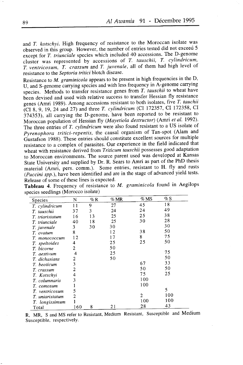and T. kotschyi. High frequency of resistance to the Moroccan isolate was observed in this group. However, the number of entries tested did not exceed 5 except for T. triunciale species which included 40 accessions. The D-genome cluster was represented by accessions of T. tauschii, T. cylindricum, T. ventricosum, T. crassum and T. juvenale, all of them had high level of resistance to the Septoria tritici blotch disease.

Resistance to *M. graminicola* appears to be present in high frequencies in the D, U, and S-genome carrying species and with less frequency in A-genome carrying species. genome carrying species and with less hequency in  $\Lambda$  generic earlying Methods to transfer resistance genes from  $T$ . tauschii to wheat have been devised and used with relative success to transfer Hessian fly resistance genes (Amri 1989). Among accessions resistant to both isolates, five T. tauchii (CI 8, 9, 19, 24 and 27) and three T. cylindricum (CI 172357, CI 172358, CI 314353), all carrying the D-genome, have been reported to be resistant to Moroccan population of Hessian fly (Mayetiola destructor) (Amri et al. 1992). The three entries of T. cylindricum were also found resistant to a US isolate of Pyrenophora tritici-repentis, the causal organism of Tan-spot (Alam and Gustafson 1988). These entries should constitute excellent sources for multiple resistance to a complex of parasites. Our experience in the field indicated that wheat with resistance derived from Triticum tauschii possesses good adaptation to Moroccan environments. The source parent used was developed at Kansas State University and supplied by Dr. R. Sears to Amri as part of the PhD thesis material (Amri, pers. comm.). Some entries, resistant to H. fly and rusts  $(Puccini spp.)$ , have been identified and are in the stage of advanced yield tests. Release of some of these lines is expected.

| <b>Species</b>  | N   | $%$ R | $\%$ MR | $\%$ MS        | $\%$ S |
|-----------------|-----|-------|---------|----------------|--------|
| T. cylindricum  | 11  | 9     | 27      | 45             | 18     |
| T. tauschii     | 37  | 3     | 24      | 24             | 49     |
| T. triaristatum | 16  | 13    | 25      | 25             | 38     |
| T. triunciale   | 40  | 18    | 25      | 30             | 28     |
| T. juvenale     | 3   | 30    | 30      |                | 30     |
| T. ovatum       | 8   |       | 12      | 38             | 50     |
| T. monococcum   | 12  |       | 17      | 8              | 75     |
| T. speltoides   | 4   |       | 25      | 25             | 50     |
| T. bicorne      | 2   |       | 50      |                |        |
| T. aestivum     | 4   |       | 25      |                | 75     |
| T. dichasians   | 2   |       | 50      |                | 50     |
| T. beoticum     | 3   |       |         | 67             | 33     |
| T. crassum      | 2   |       |         | 50             | 50     |
| T. Kotschyi     | 4   |       |         | 75             | 25     |
| T. columnaris   | 3   |       |         | 100            |        |
| T. comosum      |     |       |         | 100            |        |
| T. ventricosum  | 5   |       |         |                | 5      |
| T uniaristatum  | 2   |       |         | $\mathfrak{p}$ | 100    |
| T. longissimum  |     |       |         | 100            | 100    |
| Total           | 160 | 8     | 21      | 28             | 43     |

Tableau 4. Frequency of resistance to M. graminicola found in Aegilops species seedlings (Morocco isolate)

R, MR, S and MS refer to Resistant, Medium Resistant, Susceptible and Medium Susceptible, respectively.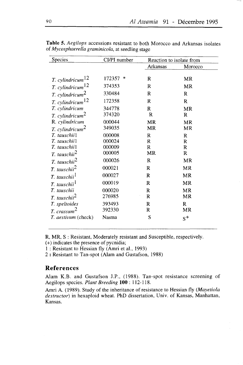| Species                        | CI/PI number | Reaction to isolate from |         |
|--------------------------------|--------------|--------------------------|---------|
|                                |              | Arkansas                 | Morocco |
|                                |              |                          |         |
| T. cylindricum <sup>12</sup>   | 172357<br>∗  | R                        | MR      |
| T. cylindricum <sup>12</sup>   | 374353       | R                        | MR      |
| $T.$ cylindricum <sup>2</sup>  | 330484       | R                        | R       |
| $T.$ cylindricum <sup>12</sup> | 172358       | R                        | R       |
| T. cylindricum                 | 344778       | R                        | MR      |
| $T.$ cylindricum <sup>2</sup>  | 374320       | R                        | R       |
| R. cylindricum                 | 000044       | <b>MR</b>                | MR      |
| $T.$ cylindricum <sup>2</sup>  | 349035       | MR                       | MR      |
| T. tauschiil                   | 000008       | $\mathbb{R}$             | R       |
| T. tauschiil                   | 000024       | $\mathbb{R}$             | R       |
| T. tauschii1                   | 000009       | R                        | R       |
| T. tauschii $^2$               | 000005       | MR                       | R       |
| T. tauschii <sup>2</sup>       | 000026       | R                        | MR      |
| $T.$ tauschii $^2$             | 000021       | R                        | MR      |
| T. tauschii <sup>1</sup>       | 000027       | R                        | MR      |
| T. tauschii <sup>1</sup>       | 000019       | R                        | MR      |
| T. tauschii                    | 000020       | R                        | MR      |
| $T.$ tauschii $^2$             | 276985       | R                        | MR      |
| T. speltoides                  | 393493       | R                        | R       |
| T. crassum <sup>2</sup>        | 392330       | R                        | MR      |
| T. aestivum (check)            | Nasma        | S                        | $S^+$   |

Table 5. Aegilops accessions resistant to both Morocco and Arkansas isolates of Mycosphaerella graminicola, at seedling stage

R, MR, S : Resistant, Moderately resistant and Susceptible, respectively.  $(+)$  indicates the presence of pycnidia;

I : Resistant to Hessian fly (Amri et al., 1993)

2 : Resistant to Tan-spot (Alam and Gustafson, 1988)

### References

Alam K.B. and Gustafson J.P., (1988). Tan-spot resistance screening of Aegilops species. Plant Breeding 100 : 112-118.

Amri A. (1989). Study of the inheritance of resistance to Hessian fly (Mayetiola destructor) in hexaploid wheat. PhD dissertation, Univ. of Kansas, Manhattan, Kansas.